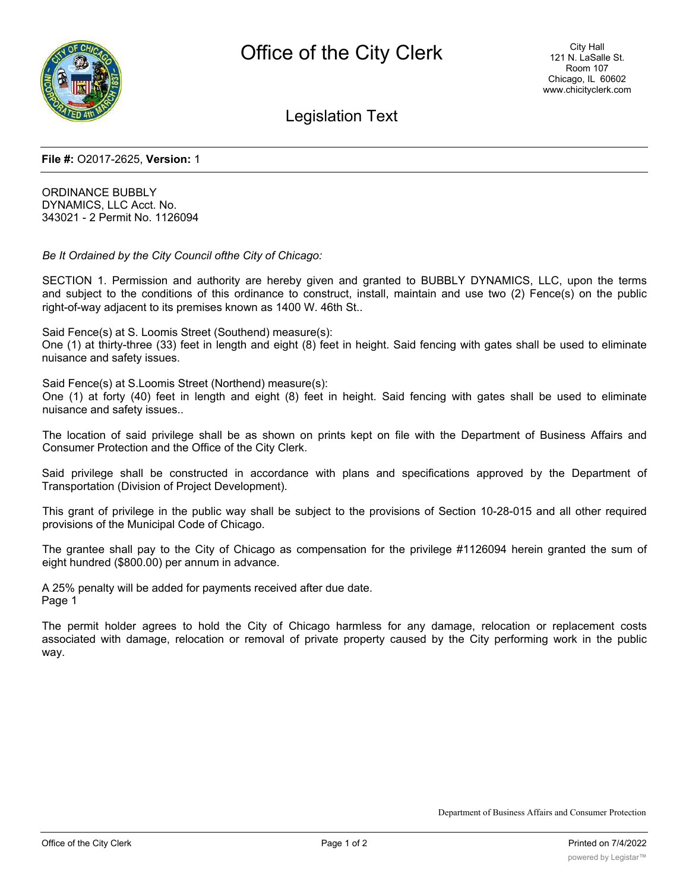

Legislation Text

### **File #:** O2017-2625, **Version:** 1

ORDINANCE BUBBLY DYNAMICS, LLC Acct. No. 343021 - 2 Permit No. 1126094

*Be It Ordained by the City Council ofthe City of Chicago:*

SECTION 1. Permission and authority are hereby given and granted to BUBBLY DYNAMICS, LLC, upon the terms and subject to the conditions of this ordinance to construct, install, maintain and use two (2) Fence(s) on the public right-of-way adjacent to its premises known as 1400 W. 46th St..

Said Fence(s) at S. Loomis Street (Southend) measure(s):

One (1) at thirty-three (33) feet in length and eight (8) feet in height. Said fencing with gates shall be used to eliminate nuisance and safety issues.

Said Fence(s) at S.Loomis Street (Northend) measure(s):

One (1) at forty (40) feet in length and eight (8) feet in height. Said fencing with gates shall be used to eliminate nuisance and safety issues..

The location of said privilege shall be as shown on prints kept on file with the Department of Business Affairs and Consumer Protection and the Office of the City Clerk.

Said privilege shall be constructed in accordance with plans and specifications approved by the Department of Transportation (Division of Project Development).

This grant of privilege in the public way shall be subject to the provisions of Section 10-28-015 and all other required provisions of the Municipal Code of Chicago.

The grantee shall pay to the City of Chicago as compensation for the privilege #1126094 herein granted the sum of eight hundred (\$800.00) per annum in advance.

A 25% penalty will be added for payments received after due date. Page 1

The permit holder agrees to hold the City of Chicago harmless for any damage, relocation or replacement costs associated with damage, relocation or removal of private property caused by the City performing work in the public way.